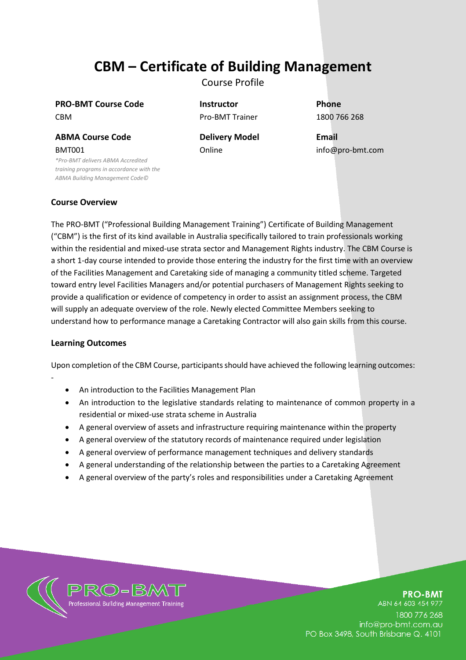# **CBM – Certificate of Building Management**

Course Profile

**PRO-BMT Course Code Instructor Phone** CBM Pro-BMT Trainer 1800 766 268

**ABMA Course Code Delivery Model Email** BMT001

*\*Pro-BMT delivers ABMA Accredited training programs in accordance with the ABMA Building Management Code©*

Online info@pro-bmt.com

# **Course Overview**

The PRO-BMT ("Professional Building Management Training") Certificate of Building Management ("CBM") is the first of its kind available in Australia specifically tailored to train professionals working within the residential and mixed-use strata sector and Management Rights industry. The CBM Course is a short 1-day course intended to provide those entering the industry for the first time with an overview of the Facilities Management and Caretaking side of managing a community titled scheme. Targeted toward entry level Facilities Managers and/or potential purchasers of Management Rights seeking to provide a qualification or evidence of competency in order to assist an assignment process, the CBM will supply an adequate overview of the role. Newly elected Committee Members seeking to understand how to performance manage a Caretaking Contractor will also gain skills from this course.

# **Learning Outcomes**

-

Upon completion of the CBM Course, participants should have achieved the following learning outcomes:

- An introduction to the Facilities Management Plan
- An introduction to the legislative standards relating to maintenance of common property in a residential or mixed-use strata scheme in Australia
- A general overview of assets and infrastructure requiring maintenance within the property
- A general overview of the statutory records of maintenance required under legislation
- A general overview of performance management techniques and delivery standards
- A general understanding of the relationship between the parties to a Caretaking Agreement
- A general overview of the party's roles and responsibilities under a Caretaking Agreement



**PRO-BMT** 

ABN 64 603 454 977 1800 776 268 info@pro-bmt.com.au PO Box 3498, South Brisbane Q. 4101